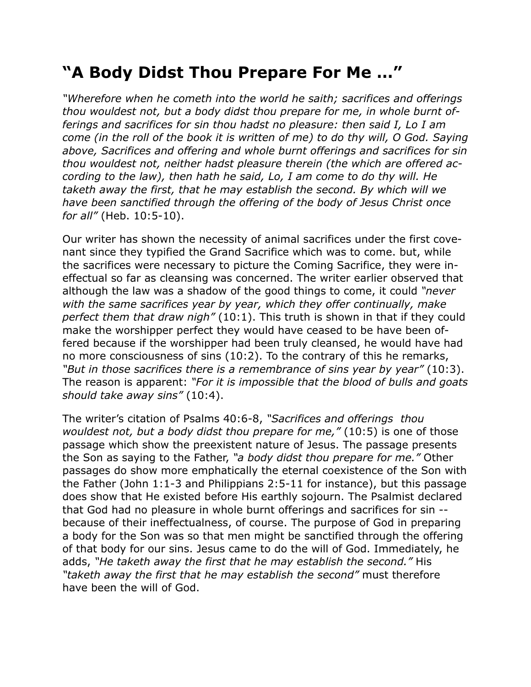## **"A Body Didst Thou Prepare For Me …"**

*"Wherefore when he cometh into the world he saith; sacrifices and offerings thou wouldest not, but a body didst thou prepare for me, in whole burnt offerings and sacrifices for sin thou hadst no pleasure: then said I, Lo I am come (in the roll of the book it is written of me) to do thy will, O God. Saying above, Sacrifices and offering and whole burnt offerings and sacrifices for sin thou wouldest not, neither hadst pleasure therein (the which are offered according to the law), then hath he said, Lo, I am come to do thy will. He taketh away the first, that he may establish the second. By which will we have been sanctified through the offering of the body of Jesus Christ once for all"* (Heb. 10:5-10).

Our writer has shown the necessity of animal sacrifices under the first covenant since they typified the Grand Sacrifice which was to come. but, while the sacrifices were necessary to picture the Coming Sacrifice, they were ineffectual so far as cleansing was concerned. The writer earlier observed that although the law was a shadow of the good things to come, it could *"never with the same sacrifices year by year, which they offer continually, make perfect them that draw nigh"* (10:1). This truth is shown in that if they could make the worshipper perfect they would have ceased to be have been offered because if the worshipper had been truly cleansed, he would have had no more consciousness of sins (10:2). To the contrary of this he remarks, *"But in those sacrifices there is a remembrance of sins year by year"* (10:3). The reason is apparent: *"For it is impossible that the blood of bulls and goats should take away sins"* (10:4).

The writer's citation of Psalms 40:6-8, *"Sacrifices and offerings thou wouldest not, but a body didst thou prepare for me,"* (10:5) is one of those passage which show the preexistent nature of Jesus. The passage presents the Son as saying to the Father, *"a body didst thou prepare for me."* Other passages do show more emphatically the eternal coexistence of the Son with the Father (John 1:1-3 and Philippians 2:5-11 for instance), but this passage does show that He existed before His earthly sojourn. The Psalmist declared that God had no pleasure in whole burnt offerings and sacrifices for sin - because of their ineffectualness, of course. The purpose of God in preparing a body for the Son was so that men might be sanctified through the offering of that body for our sins. Jesus came to do the will of God. Immediately, he adds, *"He taketh away the first that he may establish the second."* His *"taketh away the first that he may establish the second"* must therefore have been the will of God.